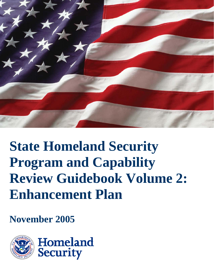

# **State Homeland Security Program and Capability Review Guidebook Volume 2: Enhancement Plan**

**November 2005**

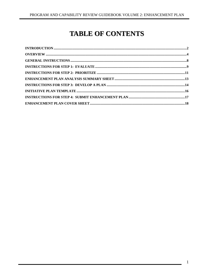# **TABLE OF CONTENTS**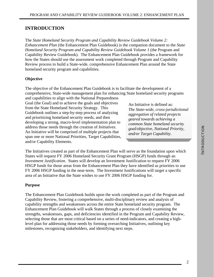# **INTRODUCTION**

The *State Homeland Security Program and Capability Review Guidebook Volume 2: Enhancement Plan* (the Enhancement Plan Guidebook) is the companion document to the *State Homeland Security Program and Capability Review Guidebook Volume 1* (the Program and Capability Review Guidebook). The Enhancement Plan Guidebook provides a framework for how the States should use the assessment work completed through Program and Capability Review process to build a State-wide, comprehensive Enhancement Plan around the State homeland security program and capabilities.

#### **Objective**

The objective of the Enhancement Plan Guidebook is to facilitate the development of a comprehensive, State-wide management plan for enhancing State homeland security programs

and capabilities to align with the National Preparedness Goal (the Goal) and to achieve the goals and objectives from the State Homeland Security Strategy. This Guidebook outlines a step-by-step process of analyzing and prioritizing homeland security needs, and then developing a strong, macro-level implementation plan to address those needs through the creation of *Initiatives*. An Initiative will be comprised of multiple projects that span one or more National Priorities, Target Capabilities, and/or Capability Elements.

An Initiative is defined as: *The State-wide, cross-jurisdictional aggregation of related projects geared towards achieving a common State homeland security goal/objective, National Priority, and/or Target Capability.* 

The Initiatives created as part of the Enhancement Plan will serve as the foundation upon which States will request FY 2006 Homeland Security Grant Program (HSGP) funds through an *Investment Justification.* States will develop an Investment Justification to request FY 2006 HSGP funds for those areas from the Enhancement Plan they have identified as priorities to use FY 2006 HSGP funding in the near-term. The Investment Justifications will target a specific area of an Initiative that the State wishes to use FY 2006 HSGP funding for.

#### **Purpose**

The Enhancement Plan Guidebook builds upon the work completed as part of the Program and Capability Review, fostering a comprehensive, multi-disciplinary review and analysis of capability strengths and weaknesses across the entire State homeland security program. The Enhancement Plan Guidebook will walk States through a process of closely examining the strengths, weaknesses, gaps, and deficiencies identified in the Program and Capability Review, selecting those that are most critical based on a series of need-indicators, and creating a highlevel plan for addressing those needs by forming overarching Initiatives, outlining key milestones, recognizing stakeholders, and identifying next steps.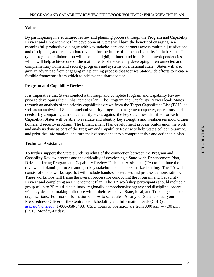#### **Value**

By participating in a structured review and planning process through the Program and Capability Review and Enhancement Plan development, States will have the benefit of engaging in a meaningful, productive dialogue with key stakeholders and partners across multiple jurisdictions and disciplines, and create a shared vision for the future of homeland security in their State. This type of regional collaboration will also help highlight inter- and intra-State interdependencies, which will help achieve one of the main intents of the Goal by developing interconnected and complementary homeland security programs and systems on a national scale. States will also gain an advantage from engaging in a planning process that focuses State-wide efforts to create a feasible framework from which to achieve the shared vision.

#### **Program and Capability Review**

It is imperative that States conduct a thorough and complete Program and Capability Review prior to developing their Enhancement Plan. The Program and Capability Review leads States through an analysis of the priority capabilities drawn from the Target Capabilities List (TCL), as well as an analysis of State homeland security program management capacity, operations, and needs. By comparing current capability levels against the key outcomes identified for each Capability, States will be able to evaluate and identify key strengths and weaknesses around their homeland security program. The Enhancement Plan development process builds upon the work and analysis done as part of the Program and Capability Review to help States collect, organize, and prioritize information, and turn their discussions into a comprehensive and actionable plan.

#### **Technical Assistance**

To further support the State's understanding of the connection between the Program and Capability Review process and the criticality of developing a State-wide Enhancement Plan, DHS is offering Program and Capability Review Technical Assistance (TA) to facilitate the review and planning process amongst key stakeholders in a personalized setting. The TA will consist of onsite workshops that will include hands-on exercises and process demonstrations. These workshops will frame the overall process for conducting the Program and Capability Review and completing an Enhancement Plan. The TA workshop participants should include a group of up to 25 multi-disciplinary, regionally comprehensive agency and discipline leaders with key decision making influence within their respective State, local, and Tribal agencies or organizations. For more information on how to schedule TA for your State, contact your Preparedness Officer or the Centralized Scheduling and Information Desk (CSID) at askcsid@dhs.gov, 1-800-368-6498. CSID hours of operation are from 8:00 a.m.  $-7:00$  p.m. (EST), Monday-Friday.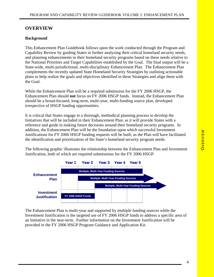#### **OVERVIEW**

#### **Background**

This Enhancement Plan Guidebook follows upon the work conducted through the Program and Capability Review by guiding States in further analyzing their critical homeland security needs, and planning enhancements to their homeland security programs based on these needs relative to the National Priorities and Target Capabilities established by the Goal. The final output will be a State-wide, multi-jurisdictional, multi-disciplinary Enhancement Plan. The Enhancement Plan complements the recently updated State Homeland Security Strategies by outlining actionable plans to help realize the goals and objectives identified in these Strategies and align them with the Goal.

While the Enhancement Plan will be a required submission for the FY 2006 HSGP, the Enhancement Plan should **not** focus on FY 2006 HSGP funds. Instead, the Enhancement Plan should be a broad-focused, long-term, multi-year, multi-funding source plan, developed irrespective of HSGP funding opportunities.

It is critical that States engage in a thorough, methodical planning process to develop the Initiatives that will be included in their Enhancement Plan, as it will provide States with a reference and guide in making future decisions around their homeland security programs. In addition, the Enhancement Plan will be the foundation upon which successful Investment Justifications for FY 2006 HSGP funding requests will be built, as the Plan will have facilitated the identification and prioritization of the State's homeland security program needs.

The following graphic illustrates the relationship between the Enhancement Plan and Investment Justification, both of which are required submissions for the FY 2006 HSGP.



The Enhancement Plan is multi-year and supported by multiple funding sources while the Investment Justification is the targeted use of FY 2006 HSGP funds to address a specific area of an Initiative in the near-term. Further information on the Investment Justification will be provided in the FY 2006 HSGP Program Guidance and Application Kit.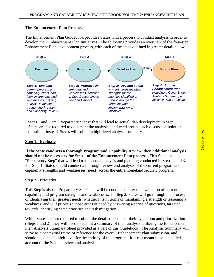#### **The Enhancement Plan Process**

The Enhancement Plan Guidebook provides States with a process to conduct analysis in order to develop their Enhancement Plan Initiatives. The following provides an overview of the four-step Enhancement Plan development process, with each of the steps outlined in greater detail below.



Steps 1 and 2 are "Preparatory Steps" that will lead to actual Plan development in Step 3. States are not required to document the analysis conducted around each discussion point or question. Instead, States will submit a high-level analysis summary.

#### **Step 1: Evaluate**

**If the State conducts a thorough Program and Capability Review, then additional analysis should not be necessary for Step 1 of the Enhancement Plan process.** This Step is a "Preparatory Step" that will lead to the actual analysis and planning conducted in Steps 2 and 3. For Step 1, States should conduct a thorough review and analysis of the current program and capability strengths and weaknesses (need) across the entire homeland security program.

#### **Step 2: Prioritize**

This Step is also a "Preparatory Step" and will be conducted after the evaluation of current capability and program strengths and weaknesses. In Step 2, States will go through the process of identifying their greatest needs, whether it is in terms of maintaining a strength or lessening a weakness, and will prioritize those areas of need by answering a series of questions, targeted towards identifying State priorities and risk mitigation.

While States are not required to submit the detailed results of their evaluation and prioritization (Steps 1 and 2), they will need to submit a summary of their analysis, utilizing the Enhancement Plan Analysis Summary Sheet provided as a part of this Guidebook. The Analysis Summary will serve as a contextual frame of reference for the overall Enhancement Plan submission, and should be kept at a high-level for the entirety of the program. It is **not** meant to be a detailed account of the State's review and analysis.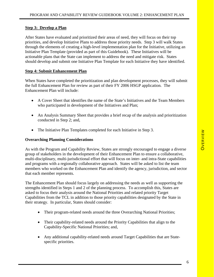#### **Step 3: Develop a Plan**

After States have evaluated and prioritized their areas of need, they will focus on their top priorities, and develop Initiative Plans to address those priority needs. Step 3 will walk States through the elements of creating a high-level implementation plan for the Initiative, utilizing an Initiative Plan Template (provided as part of this Guidebook). These Initiatives will be actionable plans that the State can implement to address the need and mitigate risk. States should develop and submit one Initiative Plan Template for each Initiative they have identified.

#### **Step 4: Submit Enhancement Plan**

When States have completed the prioritization and plan development processes, they will submit the full Enhancement Plan for review as part of their FY 2006 HSGP application. The Enhancement Plan will include:

- A Cover Sheet that identifies the name of the State's Initiatives and the Team Members who participated in development of the Initiatives and Plan;
- An Analysis Summary Sheet that provides a brief recap of the analysis and prioritization conducted in Step 2; and,
- The Initiative Plan Templates completed for each Initiative in Step 3.

#### **Overarching Planning Considerations**

As with the Program and Capability Review, States are strongly encouraged to engage a diverse group of stakeholders in the development of their Enhancement Plan to ensure a collaborative, multi-disciplinary, multi-jurisdictional effort that will focus on inter- and intra-State capabilities and programs with a regionally collaborative approach. States will be asked to list the team members who worked on the Enhancement Plan and identify the agency, jurisdiction, and sector that each member represents.

The Enhancement Plan should focus largely on addressing the needs as well as supporting the strengths identified in Steps 1 and 2 of the planning process. To accomplish this, States are asked to focus their analysis around the National Priorities and related priority Target Capabilities from the TCL in addition to those priority capabilities designated by the State in their strategy. In particular, States should consider:

- Their program-related needs around the three Overarching National Priorities;
- Their capability-related needs around the Priority Capabilities that align to the Capability-Specific National Priorities; and,
- Any additional capability-related needs around Target Capabilities that are Statespecific priorities.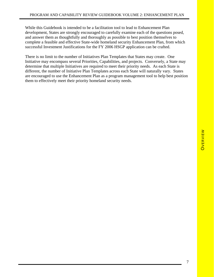While this Guidebook is intended to be a facilitation tool to lead to Enhancement Plan development, States are strongly encouraged to carefully examine each of the questions posed, and answer them as thoughtfully and thoroughly as possible to best position themselves to complete a feasible and effective State-wide homeland security Enhancement Plan, from which successful Investment Justifications for the FY 2006 HSGP application can be crafted.

There is no limit to the number of Initiatives Plan Templates that States may create. One Initiative may encompass several Priorities, Capabilities, and projects. Conversely, a State may determine that multiple Initiatives are required to meet their priority needs. As each State is different, the number of Initiative Plan Templates across each State will naturally vary. States are encouraged to use the Enhancement Plan as a program management tool to help best position them to effectively meet their priority homeland security needs.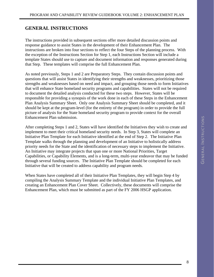# **GENERAL INSTRUCTIONS**

The instructions provided in subsequent sections offer more detailed discussion points and response guidance to assist States in the development of their Enhancement Plan. The instructions are broken into four sections to reflect the four Steps of the planning process. With the exception of the Instructions Section for Step 1, each Instructions Section will include a template States should use to capture and document information and responses generated during that Step. These templates will comprise the full Enhancement Plan.

As noted previously, Steps 1 and 2 are Preparatory Steps. They contain discussion points and questions that will assist States in identifying their strengths and weaknesses, prioritizing those strengths and weaknesses based on need and impact, and grouping those needs to form Initiatives that will enhance State homeland security programs and capabilities. States will not be required to document the detailed analysis conducted for these two steps. However, States will be responsible for providing a synopsis of the work done in each of these Steps in the Enhancement Plan Analysis Summary Sheet. Only one Analysis Summary Sheet should be completed, and it should be kept at the program-level (for the entirety of the program) in order to provide the full picture of analysis for the State homeland security program to provide context for the overall Enhancement Plan submission.

After completing Steps 1 and 2, States will have identified the Initiatives they wish to create and implement to meet their critical homeland security needs. In Step 3, States will complete an Initiative Plan Template for each Initiative identified at the end of Step 2. The Initiative Plan Template walks through the planning and development of an Initiative to holistically address priority needs for the State and the identification of necessary steps to implement the Initiative. An Initiative may integrate projects that span one or more National Priorities, Target Capabilities, or Capability Elements, and is a long-term, multi-year endeavor that may be funded through several funding sources. The Initiative Plan Template should be completed for each Initiative that will be created to address capability and program needs.

When States have completed all of their Initiative Plan Templates, they will begin Step 4 by compiling the Analysis Summary Template and the individual Initiative Plan Templates, and creating an Enhancement Plan Cover Sheet. Collectively, these documents will comprise the Enhancement Plan, which must be submitted as part of the FY 2006 HSGP application.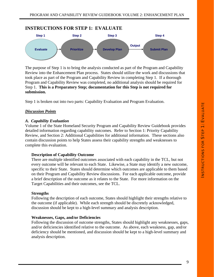## **INSTRUCTIONS FOR STEP 1: EVALUATE**



The purpose of Step 1 is to bring the analysis conducted as part of the Program and Capability Review into the Enhancement Plan process. States should utilize the work and discussions that took place as part of the Program and Capability Review in completing Step 1. If a thorough Program and Capability Review was completed, no additional analysis should be required for Step 1. **This is a Preparatory Step; documentation for this Step is not required for submission.**

Step 1 is broken out into two parts: Capability Evaluation and Program Evaluation.

#### *Discussion Points*

#### *A. Capability Evaluation*

Volume 1 of the State Homeland Security Program and Capability Review Guidebook provides detailed information regarding capability outcomes. Refer to Section 1: Priority Capability Review, and Section 2: Additional Capabilities for additional information. These sections also contain discussion points to help States assess their capability strengths and weaknesses to complete this evaluation.

#### **Description of Capability Outcome**

There are multiple identified outcomes associated with each capability in the TCL, but not every outcome will be relevant to each State. Likewise, a State may identify a new outcome, specific to their State. States should determine which outcomes are applicable to them based on their Program and Capability Review discussions. For each applicable outcome, provide a brief description of the outcome as it relates to the State. For more information on the Target Capabilities and their outcomes, see the TCL.

#### **Strengths**

Following the description of each outcome, States should highlight their strengths relative to the outcome (if applicable). While each strength should be discretely acknowledged, discussion should be kept to a high-level summary and analysis description.

#### **Weaknesses, Gaps, and/or Deficiencies**

Following the discussion of outcome strengths, States should highlight any weaknesses, gaps, and/or deficiencies identified relative to the outcome. As above, each weakness, gap, and/or deficiency should be mentioned, and discussion should be kept to a high-level summary and analysis description.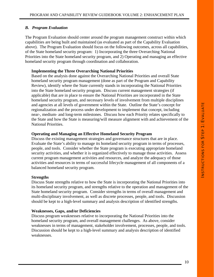#### *B. Program Evaluation*

The Program Evaluation should center around the program management construct within which capabilities are being built and maintained (as evaluated as part of the Capability Evaluation above). The Program Evaluation should focus on the following outcomes, across all capabilities, of the State homeland security program: 1) Incorporating the three Overarching National Priorities into the State homeland security program, and 2) Operating and managing an effective homeland security program through coordination and collaboration.

#### **Implementing the Three Overarching National Priorities**

Based on the analysis done against the Overarching National Priorities and overall State homeland security program management (done as part of the Program and Capability Review), identify where the State currently stands in incorporating the National Priorities into the State homeland security program. Discuss current management strategies (if applicable) that are in place to ensure the National Priorities are incorporated in the State homeland security program, and necessary levels of involvement from multiple disciplines and agencies at all levels of government within the State. Outline the State's concept for regionalization and the process under development to implement that concept, including near-, medium- and long-term milestones. Discuss how each Priority relates specifically to the State and how the State is measuring/will measure alignment with and achievement of the National Priorities.

#### **Operating and Managing an Effective Homeland Security Program**

Discuss the existing management strategies and governance structures that are in place. Evaluate the State's ability to manage its homeland security program in terms of processes, people, and tools. Consider whether the State program is executing appropriate homeland security activities, and whether it is organized effectively to manage those activities. Assess current program management activities and resources, and analyze the adequacy of those activities and resources in terms of successful lifecycle management of all components of a balanced homeland security program.

#### **Strengths**

Discuss State strengths relative to how the State is incorporating the National Priorities into its homeland security program, and strengths relative to the operation and management of the State homeland security program. Consider strengths in terms of overall management and multi-disciplinary involvement, as well as discrete processes, people, and tools. Discussion should be kept to a high-level summary and analysis description of identified strengths.

#### **Weaknesses, Gaps, and/or Deficiencies**

Discuss program weaknesses relative to incorporating the National Priorities into the homeland security program, and overall management challenges. As above, consider weaknesses in terms of management, stakeholder involvement, processes, people, and tools. Discussion should be kept to a high-level summary and analysis description of identified weaknesses.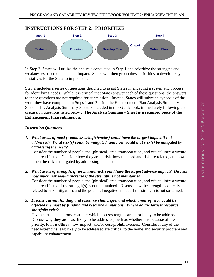#### **INSTRUCTIONS FOR STEP 2: PRIORITIZE**



In Step 2, States will utilize the analysis conducted in Step 1 and prioritize the strengths and weaknesses based on need and impact. States will then group these priorities to develop key Initiatives for the State to implement.

Step 2 includes a series of questions designed to assist States in engaging a systematic process for identifying needs. While it is critical that States answer each of these questions, the answers to these questions are not required for submission. Instead, States will submit a synopsis of the work they have completed in Steps 1 and 2 using the Enhancement Plan Analysis Summary Sheet. This Analysis Summary Sheet is included in this Guidebook, immediately following the discussion questions listed below. **The Analysis Summary Sheet is a required piece of the Enhancement Plan submission.**

#### *Discussion Questions*

*1. What areas of need (weaknesses/deficiencies) could have the largest impact if not addressed? What risk(s) could be mitigated, and how would that risk(s) be mitigated by addressing the need?* 

Consider the number of people, the (physical) area, transportation, and critical infrastructure that are affected. Consider how they are at risk, how the need and risk are related, and how much the risk is mitigated by addressing the need.

*2. What areas of strength, if not maintained, could have the largest adverse impact? Discuss how much risk would increase if the strength is not maintained.* 

Consider the number of people, the (physical) area, transportation, and critical infrastructure that are affected if the strength(s) is not maintained. Discuss how the strength is directly related to risk mitigation, and the potential negative impact if the strength is not sustained.

*3. Discuss current funding and resource challenges, and which areas of need could be affected the most by funding and resource limitations. Where do the largest resource shortfalls exist?* 

Given current situations, consider which needs/strengths are least likely to be addressed. Discuss why they are least likely to be addressed, such as whether it is because of low priority, low risk/threat, low impact, and/or cost-prohibitiveness. Consider if any of the needs/strengths least likely to be addressed are critical to the homeland security program and capability enhancement.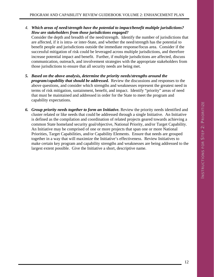- *4. Which areas of need/strength have the potential to impact/benefit multiple jurisdictions? How are stakeholders from those jurisdictions engaged?*  Consider the depth and breadth of the need/strength. Identify the number of jurisdictions that are affected, if it is intra- or inter-State, and whether the need/strength has the potential to benefit people and jurisdictions outside the immediate response/focus area. Consider if the successful mitigation of risk could be leveraged across multiple jurisdictions, and therefore increase potential impact and benefit. Further, if multiple jurisdictions are affected, discuss communication, outreach, and involvement strategies with the appropriate stakeholders from
- *5. Based on the above analysis, determine the priority needs/strengths around the program/capability that should be addressed.* Review the discussions and responses to the above questions, and consider which strengths and weaknesses represent the greatest need in terms of risk mitigation, sustainment, benefit, and impact. Identify "priority" areas of need that must be maintained and addressed in order for the State to meet the program and capability expectations.

those jurisdictions to ensure that all security needs are being met.

*6. Group priority needs together to form an Initiative.* Review the priority needs identified and cluster related or like needs that could be addressed through a single Initiative. An Initiative is defined as the compilation and coordination of related projects geared towards achieving a common State homeland security goal/objective, National Priority, and/or Target Capability. An Initiative may be comprised of one or more projects that span one or more National Priorities, Target Capabilities, and/or Capability Elements. Ensure that needs are grouped together in a way that will maximize the Initiative's effectiveness. Review Initiatives to make certain key program and capability strengths and weaknesses are being addressed to the largest extent possible. Give the Initiative a short, descriptive name.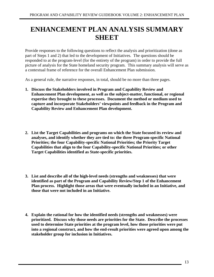# **ENHANCEMENT PLAN ANALYSIS SUMMARY SHEET**

Provide responses to the following questions to reflect the analysis and prioritization (done as part of Steps 1 and 2) that led to the development of Initiatives. The questions should be responded to at the program-level (for the entirety of the program) in order to provide the full picture of analysis for the State homeland security program. This summary analysis will serve as a contextual frame of reference for the overall Enhancement Plan submission.

As a general rule, the narrative responses, in total, should be no more than three pages.

- **1. Discuss the Stakeholders involved in Program and Capability Review and Enhancement Plan development, as well as the subject-matter, functional, or regional expertise they brought to these processes. Document the method or medium used to capture and incorporate Stakeholders' viewpoints and feedback in the Program and Capability Review and Enhancement Plan development.**
- **2. List the Target Capabilities and programs on which the State focused its review and analyses, and identify whether they are tied to: the three Program-specific National Priorities; the four Capability-specific National Priorities; the Priority Target Capabilities that align to the four Capability-specific National Priorities; or other Target Capabilities identified as State-specific priorities.**
- **3. List and describe all of the high-level needs (strengths and weaknesses) that were identified as part of the Program and Capability Review/Step 1 of the Enhancement Plan process. Highlight those areas that were eventually included in an Initiative, and those that were not included in an Initiative.**
- **4. Explain the rational for how the identified needs (strengths and weaknesses) were prioritized. Discuss why those needs are priorities for the State. Describe the processes used to determine State priorities at the program level, how those priorities were put into a regional construct, and how the end-result priorities were agreed upon among the stakeholder group for inclusion in Initiatives.**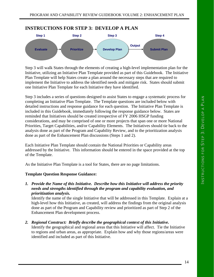



Step 3 will walk States through the elements of creating a high-level implementation plan for the Initiative, utilizing an Initiative Plan Template provided as part of this Guidebook. The Initiative Plan Template will help States create a plan around the necessary steps that are required to implement the Initiative to address the identified needs and mitigate risk. States should submit one Initiative Plan Template for each Initiative they have identified.

Step 3 includes a series of questions designed to assist States to engage a systematic process for completing an Initiative Plan Template. The Template questions are included below with detailed instructions and response guidance for each question. The Initiative Plan Template is included in this Guidebook, immediately following the response guidance below. States are reminded that Initiatives should be created irrespective of FY 2006 HSGP funding considerations, and may be comprised of one or more projects that span one or more National Priorities, Target Capabilities, and/or Capability Elements. The Initiatives should tie back to the analysis done as part of the Program and Capability Review, and to the prioritization analysis done as part of the Enhancement Plan discussions (Steps 1 and 2).

Each Initiative Plan Template should contain the National Priorities or Capability areas addressed by the Initiative. This information should be entered in the space provided at the top of the Template.

As the Initiative Plan Template is a tool for States, there are no page limitations.

#### **Template Question Response Guidance:**

*1. Provide the Name of this Initiative. Describe how this Initiative will address the priority needs and strengths identified through the program and capability evaluation, and prioritization analysis.* 

Identify the name of the single Initiative that will be addressed in this Template. Explain at a high-level how this Initiative, as created, will address the findings from the original analysis done as part of the Program and Capability review and prioritized as part of Step 2 of the Enhancement Plan development process.

*2. Regional Construct: Briefly describe the geographical context of this Initiative.* 

Identify the geographical and regional areas that this Initiative will affect. Tie the Initiative to regions and urban areas, as appropriate. Explain how and why those regions/areas were identified and included as part of this Initiative.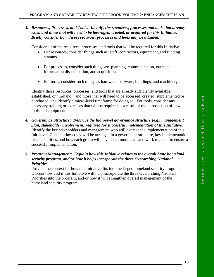#### *3. Resources, Processes, and Tools: Identify the resources, processes and tools that already exist, and those that will need to be leveraged, created, or acquired for this Initiative. Briefly consider how these resources, processes and tools may be attained.*

Consider all of the resources, processes, and tools that will be required for this Initiative.

- For resources, consider things such as: staff, contractors, equipment, and funding streams.
- For processes, consider such things as: planning, communication, outreach, information dissemination, and acquisition.
- For tools, consider such things as hardware, software, buildings, and machinery.

Identify those resources, processes, and tools that are already sufficiently available, established, or "in-hand," and those that will need to be accessed, created, supplemented or purchased, and identify a micro-level timeframe for doing so. For tools, consider any necessary training or exercises that will be required as a result of the introduction of new tools and equipment.

- *4. Governance Structure: Describe the high-level governance structure (e.g., management plan, stakeholder involvement) required for successful implementation of this Initiative.*  Identify the key stakeholders and management who will oversee the implementation of this Initiative. Consider how they will be arranged in a governance structure, key implementation responsibilities, and how each group will have to communicate and work together to ensure a successful implementation.
- *5. Program Management: Explain how this Initiative relates to the overall State homeland security program, and/or how it helps incorporate the three Overarching National Priorities.*

Provide the context for how this Initiative fits into the larger homeland security program. Discuss how and if this Initiative will help incorporate the three Overarching National Priorities into the program, and/or how it will strengthen overall management of the homeland security program.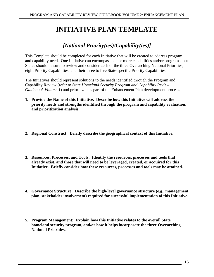# **INITIATIVE PLAN TEMPLATE**

# *[National Priority(ies)/Capability(ies)]*

This Template should be completed for each Initiative that will be created to address program and capability need. One Initiative can encompass one or more capabilities and/or programs, but States should be sure to review and consider each of the three Overarching National Priorities, eight Priority Capabilities, and their three to five State-specific Priority Capabilities.

The Initiatives should represent solutions to the needs identified through the Program and Capability Review (refer to *State Homeland Security Program and Capability Review Guidebook Volume 1*) and prioritized as part of the Enhancement Plan development process.

- **1. Provide the Name of this Initiative. Describe how this Initiative will address the priority needs and strengths identified through the program and capability evaluation, and prioritization analysis.**
- **2. Regional Construct: Briefly describe the geographical context of this Initiative.**
- **3. Resources, Processes, and Tools: Identify the resources, processes and tools that already exist, and those that will need to be leveraged, created, or acquired for this Initiative. Briefly consider how these resources, processes and tools may be attained.**
- **4. Governance Structure: Describe the high-level governance structure (e.g., management plan, stakeholder involvement) required for successful implementation of this Initiative.**
- **5. Program Management: Explain how this Initiative relates to the overall State homeland security program, and/or how it helps incorporate the three Overarching National Priorities.**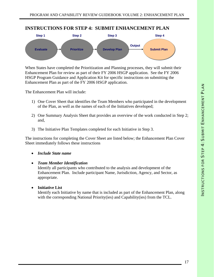#### **INSTRUCTIONS FOR STEP 4: SUBMIT ENHANCEMENT PLAN**



When States have completed the Prioritization and Planning processes, they will submit their Enhancement Plan for review as part of their FY 2006 HSGP application. See the FY 2006 HSGP Program Guidance and Application Kit for specific instructions on submitting the Enhancement Plan as part of the FY 2006 HSGP application.

The Enhancement Plan will include:

- 1) One Cover Sheet that identifies the Team Members who participated in the development of the Plan, as well as the names of each of the Initiatives developed;
- 2) One Summary Analysis Sheet that provides an overview of the work conducted in Step 2; and,
- 3) The Initiative Plan Templates completed for each Initiative in Step 3.

The instructions for completing the Cover Sheet are listed below; the Enhancement Plan Cover Sheet immediately follows these instructions

- *Include State name*
- *Team Member Identification*

Identify all participants who contributed to the analysis and development of the Enhancement Plan. Include participant Name, Jurisdiction, Agency, and Sector, as appropriate.

• **Initiative List** 

Identify each Initiative by name that is included as part of the Enhancement Plan, along with the corresponding National Priority(ies) and Capability(ies) from the TCL.